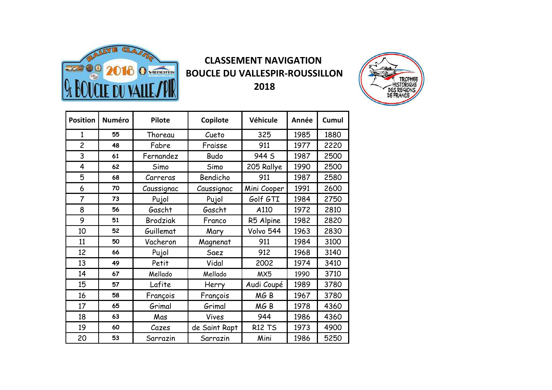

## **CLASSEMENT NAVIGATION BOUCLE DU VALLESPIR-ROUSSILLON 2018**



| <b>Position</b> | <b>Numéro</b> | <b>Pilote</b>   | Copilote      | Véhicule        | Année | Cumul |
|-----------------|---------------|-----------------|---------------|-----------------|-------|-------|
| $\mathbf{1}$    | 55            | Thoreau         | Cueto         | 325             | 1985  | 1880  |
| $\overline{c}$  | 48            | Fabre           | Fraisse       | 911             | 1977  | 2220  |
| 3               | 61            | Fernandez       | <b>Budo</b>   | 944 S           | 1987  | 2500  |
| $\overline{4}$  | 62            | Simo            | Simo          | 205 Rallye      | 1990  | 2500  |
| 5               | 68            | Carreras        | Bendicho      | 911             | 1987  | 2580  |
| 6               | 70            | Caussignac      | Caussignac    | Mini Cooper     | 1991  | 2600  |
| $\overline{7}$  | 73            | Pujol           | Pujol         | Golf GTI        | 1984  | 2750  |
| 8               | 56            | Gascht          | Gascht        | A110            | 1972  | 2810  |
| 9               | 51            | <b>Brodziak</b> | Franco        | R5 Alpine       | 1982  | 2820  |
| 10              | 52            | Guillemat       | Mary          | Volvo 544       | 1963  | 2830  |
| 11              | 50            | Vacheron        | Magnenat      | 911             | 1984  | 3100  |
| 12              | 66            | Pujol           | Saez          | 912             | 1968  | 3140  |
| 13              | 49            | Petit           | Vidal         | 2002            | 1974  | 3410  |
| 14              | 67            | Mellado         | Mellado       | MX5             | 1990  | 3710  |
| 15              | 57            | Lafite          | Herry         | Audi Coupé      | 1989  | 3780  |
| 16              | 58            | François        | François      | MG <sub>B</sub> | 1967  | 3780  |
| 17              | 65            | Grimal          | Grimal        | MGB             | 1978  | 4360  |
| 18              | 63            | Mas             | Vives         | 944             | 1986  | 4360  |
| 19              | 60            | Cazes           | de Saint Rapt | <b>R12 TS</b>   | 1973  | 4900  |
| 20              | 53            | Sarrazin        | Sarrazin      | Mini            | 1986  | 5250  |